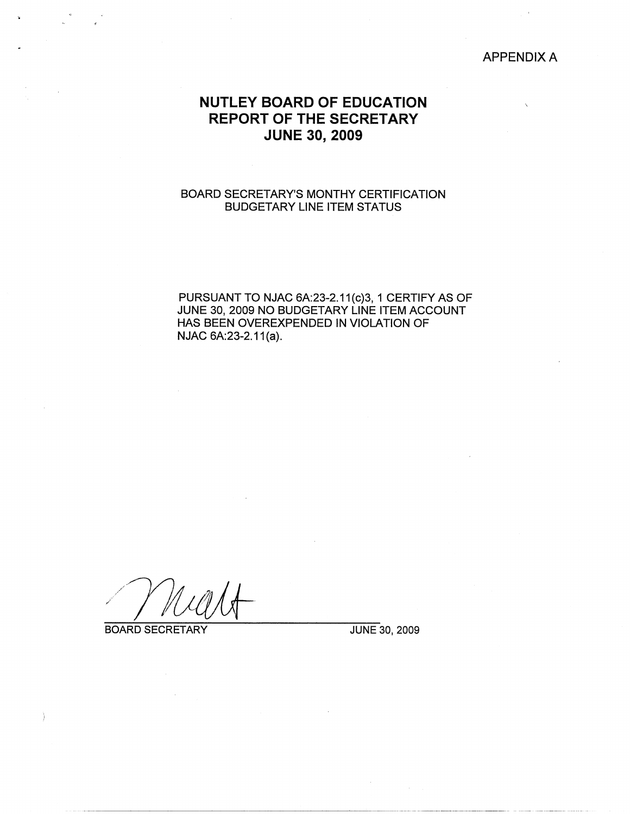## APPENDIX A

# **NUTLEY BOARD OF EDUCATION REPORT OF THE SECRETARY JUNE 30, 2009**

## BOARD SECRETARY'S MONTHY CERTIFICATION BUDGETARY LINE ITEM STATUS

PURSUANT TO NJAC 6A:23-2.11(c)3, 1 CERTIFY AS OF JUNE 30, 2009 NO BUDGETARY LINE ITEM ACCOUNT HAS BEEN OVEREXPENDED IN VIOLATION OF NJAC 6A:23-2.11(a).

/

BOARD SECRETARY JUNE 30, 2009

j.

-------~-------~---·-------- ··--··-··---------------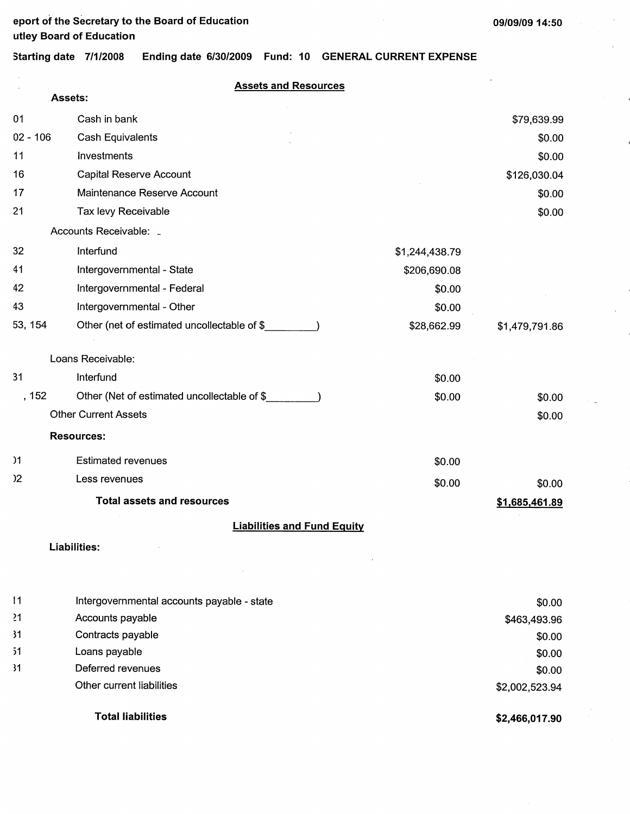**Starting date 7/1/2008 Ending date 6/30/2009 Fund: 10 GENERAL CURRENT EXPENSE** 

**Assets and Resources** 

|                 | <b>Assets:</b>                              |                |                |
|-----------------|---------------------------------------------|----------------|----------------|
| 01              | Cash in bank                                |                | \$79,639.99    |
| $02 - 106$      | Cash Equivalents                            |                | \$0.00         |
| 11              | Investments                                 |                | \$0.00         |
| 16              | <b>Capital Reserve Account</b>              |                | \$126,030.04   |
| 17              | Maintenance Reserve Account                 |                | \$0.00         |
| 21              | Tax levy Receivable                         |                | \$0.00         |
|                 | Accounts Receivable:                        |                |                |
| 32              | Interfund                                   | \$1,244,438.79 |                |
| 41              | Intergovernmental - State                   | \$206,690.08   |                |
| 42              | Intergovernmental - Federal                 | \$0.00         |                |
| 43              | Intergovernmental - Other                   | \$0.00         |                |
| 53, 154         | Other (net of estimated uncollectable of \$ | \$28,662.99    | \$1,479,791.86 |
|                 |                                             |                |                |
|                 | Loans Receivable:                           |                |                |
| 31              | Interfund                                   | \$0.00         |                |
| , 152           | Other (Net of estimated uncollectable of \$ | \$0.00         | \$0.00         |
|                 | <b>Other Current Assets</b>                 |                | \$0.00         |
|                 | <b>Resources:</b>                           |                |                |
| $\overline{)1}$ | <b>Estimated revenues</b>                   | \$0.00         |                |
| $2^{\circ}$     | Less revenues                               | \$0.00         | \$0.00         |
|                 | <b>Total assets and resources</b>           |                | \$1,685,461.89 |
|                 | <b>Liabilities and Fund Equity</b>          |                |                |
|                 | Liabilities:                                |                |                |
|                 |                                             | $\,$           |                |
|                 |                                             |                |                |
| 11              | Intergovernmental accounts payable - state  |                | \$0.00         |
| 21              | Accounts payable                            |                | \$463,493.96   |
| 31              | Contracts payable                           |                | \$0.00         |
| 51              | Loans payable                               |                | \$0.00         |
| 31              | Deferred revenues                           |                | \$0.00         |
|                 | Other current liabilities                   |                | \$2,002,523.94 |
|                 | <b>Total liabilities</b>                    |                | \$2,466.017.90 |

**\$2,466,017.90**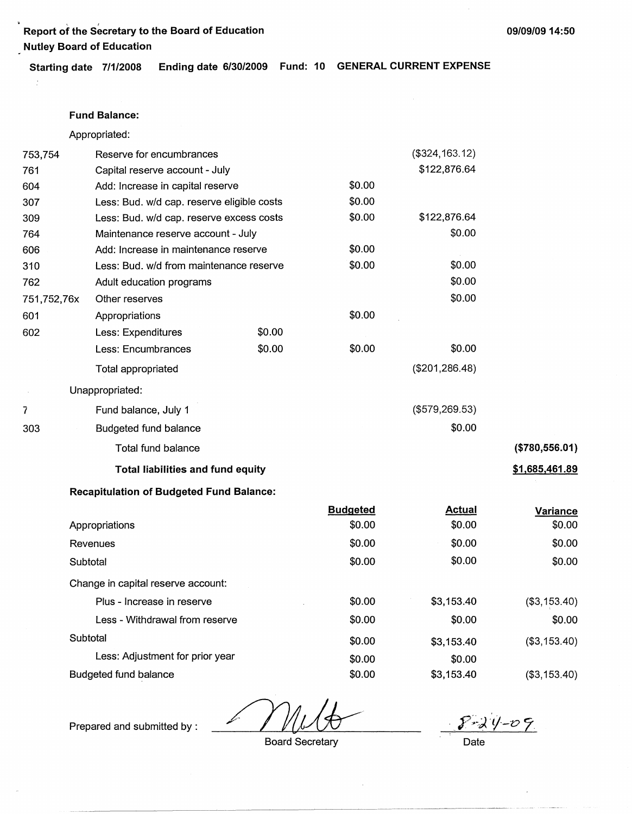' ' **Report of the Secretary to the Board of Education 09/09/09 14:50 Nutley Board of Education** 

**Starting date 7/1/2008 Ending date 6/30/2009 Fund: 10 GENERAL CURRENT EXPENSE** 

#### **Fund Balance:**

 $\mathbb{R}^2$ 

Appropriated:

| 753,754     | Reserve for encumbrances                        |        |        | $($ \$324, 163.12) |                       |
|-------------|-------------------------------------------------|--------|--------|--------------------|-----------------------|
| 761         | Capital reserve account - July                  |        |        | \$122,876.64       |                       |
| 604         | Add: Increase in capital reserve                |        | \$0.00 |                    |                       |
| 307         | Less: Bud. w/d cap. reserve eligible costs      |        | \$0.00 |                    |                       |
| 309         | Less: Bud. w/d cap. reserve excess costs        |        | \$0.00 | \$122,876.64       |                       |
| 764         | Maintenance reserve account - July              |        |        | \$0.00             |                       |
| 606         | Add: Increase in maintenance reserve            |        | \$0.00 |                    |                       |
| 310         | Less: Bud. w/d from maintenance reserve         |        | \$0.00 | \$0.00             |                       |
| 762         | Adult education programs                        |        |        | \$0.00             |                       |
| 751,752,76x | Other reserves                                  |        |        | \$0.00             |                       |
| 601         | Appropriations                                  |        | \$0.00 |                    |                       |
| 602         | Less: Expenditures                              | \$0.00 |        |                    |                       |
|             | Less: Encumbrances                              | \$0.00 | \$0.00 | \$0.00             |                       |
|             | Total appropriated                              |        |        | (\$201, 286.48)    |                       |
|             | Unappropriated:                                 |        |        |                    |                       |
| 7           | Fund balance, July 1                            |        |        | (\$579,269.53)     |                       |
| 303         | <b>Budgeted fund balance</b>                    |        |        | \$0.00             |                       |
|             | Total fund balance                              |        |        |                    | (\$780,556.01)        |
|             | <b>Total liabilities and fund equity</b>        |        |        |                    | <u>\$1,685,461.89</u> |
|             | <b>Recapitulation of Budgeted Fund Balance:</b> |        |        |                    |                       |

| <b>Budgeted</b> | <b>Actual</b> | Variance     |
|-----------------|---------------|--------------|
| \$0.00          | \$0.00        | \$0.00       |
| \$0.00          | \$0.00        | \$0.00       |
| \$0.00          | \$0.00        | \$0.00       |
|                 |               |              |
| \$0.00          | \$3,153.40    | (\$3,153.40) |
| \$0.00          | \$0.00        | \$0.00       |
| \$0.00          | \$3,153.40    | (\$3,153.40) |
| \$0.00          | \$0.00        |              |
| \$0.00          | \$3,153.40    | (\$3,153.40) |
|                 |               |              |

Prepared and submitted by:  $\angle$  /  $\angle$  /  $\angle$  0  $\angle$   $\angle$  0  $\angle$   $\angle$  -0  $\angle$ 

Board Secretary **Date**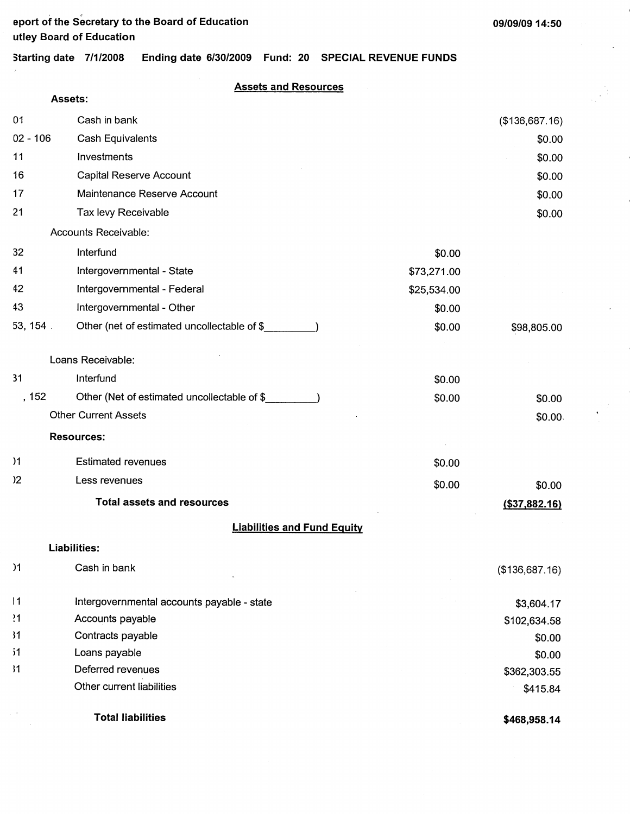## **Starting date 7/1/2008 Ending date 6/30/2009 Fund: 20 SPECIAL REVENUE FUNDS**

**Assets and Resources** 

|                | Assets:                                     |             |                  |
|----------------|---------------------------------------------|-------------|------------------|
| 01             | Cash in bank                                |             | (\$136,687.16)   |
| $02 - 106$     | <b>Cash Equivalents</b>                     |             | \$0.00           |
| 11             | Investments                                 |             | \$0.00           |
| 16             | Capital Reserve Account                     |             | \$0.00           |
| 17             | Maintenance Reserve Account                 |             | \$0.00           |
| 21             | Tax levy Receivable                         |             | \$0.00           |
|                | Accounts Receivable:                        |             |                  |
| 32             | Interfund                                   | \$0.00      |                  |
| 41             | Intergovernmental - State                   | \$73,271.00 |                  |
| 42             | Intergovernmental - Federal                 | \$25,534.00 |                  |
| 43             | Intergovernmental - Other                   | \$0.00      |                  |
| 53, 154.       | Other (net of estimated uncollectable of \$ | \$0.00      | \$98,805.00      |
|                | Loans Receivable:                           |             |                  |
| 31             | Interfund                                   | \$0.00      |                  |
| , 152          | Other (Net of estimated uncollectable of \$ | \$0.00      | \$0.00           |
|                | <b>Other Current Assets</b>                 |             | \$0.00.          |
|                | <b>Resources:</b>                           |             |                  |
| $\overline{1}$ | <b>Estimated revenues</b>                   | \$0.00      |                  |
| $2^{\circ}$    | Less revenues                               | \$0.00      | \$0.00           |
|                | <b>Total assets and resources</b>           |             | $($ \$37,882.16) |
|                | <b>Liabilities and Fund Equity</b>          |             |                  |
|                | <b>Liabilities:</b>                         |             |                  |
| )1             | Cash in bank                                |             | (\$136,687.16)   |
| 1              | Intergovernmental accounts payable - state  |             | \$3,604.17       |
| 21             | Accounts payable                            |             | \$102,634.58     |
| 31             | Contracts payable                           |             | \$0.00           |
| 51             | Loans payable                               |             | \$0.00           |
| ,11            | Deferred revenues                           |             | \$362,303.55     |
|                | Other current liabilities                   |             | \$415.84         |
|                | <b>Total liabilities</b>                    |             | \$468,958.14     |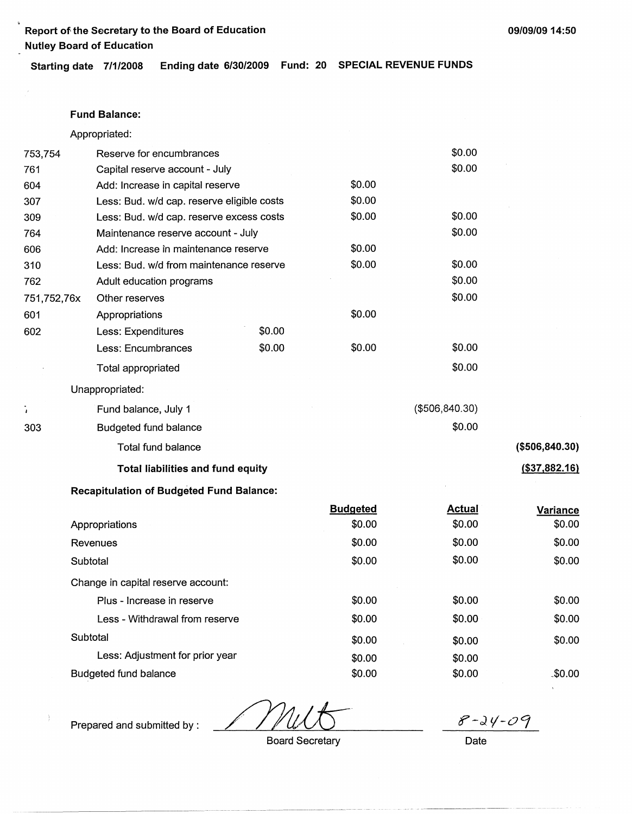**Report of the Secretary to the Board of Education Nutley Board of Education** 

**Starting date 7/1/2008 Ending date 6/30/2009 Fund: 20 SPECIAL REVENUE FUNDS** 

### **Fund Balance:**

Appropriated:

| 753,754     | Reserve for encumbrances                        |        |                 | \$0.00          |                 |
|-------------|-------------------------------------------------|--------|-----------------|-----------------|-----------------|
| 761         | Capital reserve account - July                  |        |                 | \$0.00          |                 |
| 604         | Add: Increase in capital reserve                |        | \$0.00          |                 |                 |
| 307         | Less: Bud. w/d cap. reserve eligible costs      |        | \$0.00          |                 |                 |
| 309         | Less: Bud. w/d cap. reserve excess costs        |        | \$0.00          | \$0.00          |                 |
| 764         | Maintenance reserve account - July              |        |                 | \$0.00          |                 |
| 606         | Add: Increase in maintenance reserve            |        | \$0.00          |                 |                 |
| 310         | Less: Bud. w/d from maintenance reserve         |        | \$0.00          | \$0.00          |                 |
| 762         | Adult education programs                        |        |                 | \$0.00          |                 |
| 751,752,76x | Other reserves                                  |        |                 | \$0.00          |                 |
| 601         | Appropriations                                  |        | \$0.00          |                 |                 |
| 602         | Less: Expenditures                              | \$0.00 |                 |                 |                 |
|             | Less: Encumbrances                              | \$0.00 | \$0.00          | \$0.00          |                 |
|             | Total appropriated                              |        |                 | \$0.00          |                 |
|             | Unappropriated:                                 |        |                 |                 |                 |
| i,          | Fund balance, July 1                            |        |                 | (\$506, 840.30) |                 |
| 303         | Budgeted fund balance                           |        |                 | \$0.00          |                 |
|             | <b>Total fund balance</b>                       |        |                 |                 | (\$506, 840.30) |
|             | <b>Total liabilities and fund equity</b>        |        |                 |                 | (\$37,882.16)   |
|             | <b>Recapitulation of Budgeted Fund Balance:</b> |        |                 |                 |                 |
|             |                                                 |        | <b>Budgeted</b> | <b>Actual</b>   | Variance        |
|             | Appropriations                                  |        | \$0.00          | \$0.00          | \$0.00          |
|             | Revenues                                        |        | \$0.00          | \$0.00          | \$0.00          |
|             | Subtotal                                        |        | \$0.00          | \$0.00          | \$0.00          |
|             | Change in capital reserve account:              |        |                 |                 |                 |
|             | Plus - Increase in reserve                      |        | \$0.00          | \$0.00          | \$0.00          |
|             | Less - Withdrawal from reserve                  |        | \$0.00          | \$0.00          | \$0.00          |

Less: Adjustment for prior year

**Subtotal** 

Budgeted fund balance

 $8 - 24 - 09$ 

\$0.00

\_\$0.00

Board Secretary

\$0.00 \$0.00 \$0.00

Date

\$0.00 \$0.00 \$0.00

Prepared and submitted by :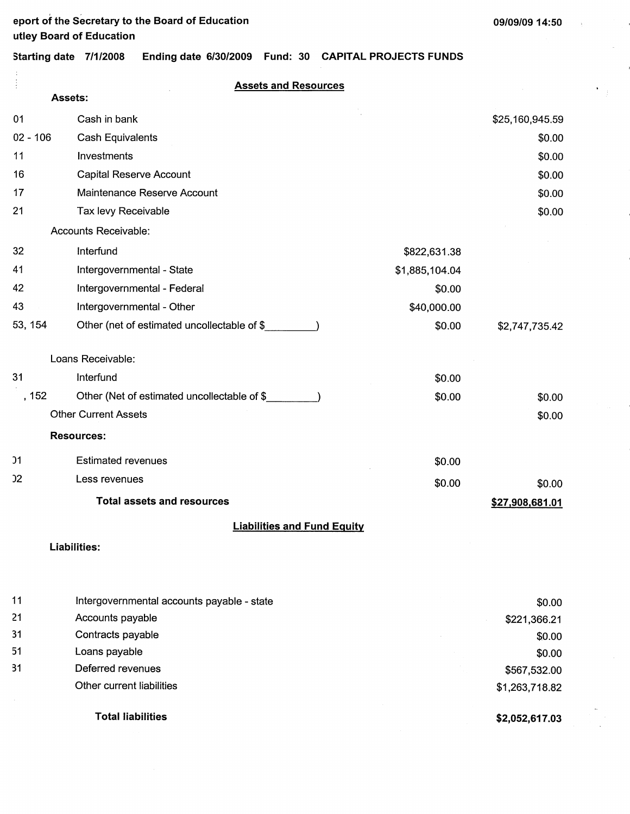$\overline{1}$ 

 $\bullet$ 

**Starting date 7/1/2008 Ending date 6/30/2009 Fund: 30 CAPITAL PROJECTS FUNDS** 

|                 | ,,,,,,,,,<br>uulu vivoleuvu                 |                |                 |
|-----------------|---------------------------------------------|----------------|-----------------|
|                 | <b>Assets and Resources</b>                 |                |                 |
|                 | Assets:                                     |                |                 |
| 01              | Cash in bank                                |                | \$25,160,945.59 |
| $02 - 106$      | <b>Cash Equivalents</b>                     |                | \$0.00          |
| 11              | Investments                                 |                | \$0.00          |
| 16              | Capital Reserve Account                     |                | \$0.00          |
| 17              | Maintenance Reserve Account                 |                | \$0.00          |
| 21              | Tax levy Receivable                         |                | \$0.00          |
|                 | Accounts Receivable:                        |                |                 |
| 32              | Interfund                                   | \$822,631.38   |                 |
| 41              | Intergovernmental - State                   | \$1,885,104.04 |                 |
| 42              | Intergovernmental - Federal                 | \$0.00         |                 |
| 43              | Intergovernmental - Other                   | \$40,000.00    |                 |
| 53, 154         | Other (net of estimated uncollectable of \$ | \$0.00         | \$2,747,735.42  |
|                 | Loans Receivable:                           |                |                 |
| 31              | Interfund                                   | \$0.00         |                 |
| , 152           | Other (Net of estimated uncollectable of \$ | \$0.00         | \$0.00          |
|                 | <b>Other Current Assets</b>                 |                | \$0.00          |
|                 | <b>Resources:</b>                           |                |                 |
| $\overline{)1}$ | <b>Estimated revenues</b>                   | \$0.00         |                 |
| 22              | Less revenues                               | \$0.00         | \$0.00          |
|                 | <b>Total assets and resources</b>           |                | \$27,908,681.01 |
|                 | <b>Liabilities and Fund Equity</b>          |                |                 |
|                 | <b>Liabilities:</b>                         |                |                 |
|                 |                                             |                |                 |
| 11              | Intergovernmental accounts payable - state  |                | \$0.00          |
| 21              | Accounts payable                            |                | \$221,366.21    |
| 31              | Contracts payable                           |                | \$0.00          |
| 51              | Loans payable                               |                | \$0.00          |
| 31              | Deferred revenues                           |                | \$567,532.00    |
|                 | Other current liabilities                   |                | \$1,263,718.82  |

**Total liabilities** 

**\$2,052,617.03**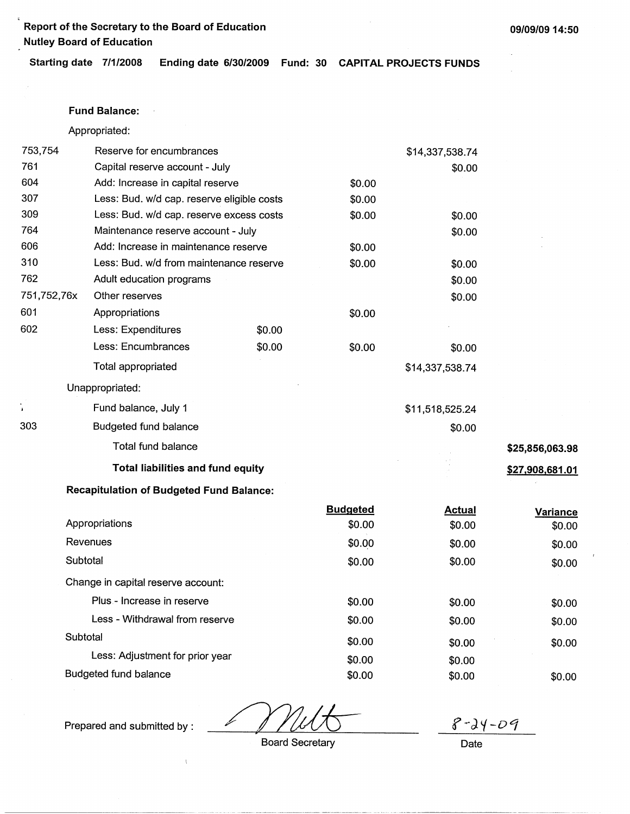**Report of the Secretary to the Board of Education Nutley Board of Education** 

**Starting date 7/1/2008 Ending date 6/30/2009 Fund: 30 CAPITAL PROJECTS FUNDS** 

#### **Fund Balance:**

Appropriated:

|              |                                                 |        | Dural and the of |                 |                 |
|--------------|-------------------------------------------------|--------|------------------|-----------------|-----------------|
|              | <b>Recapitulation of Budgeted Fund Balance:</b> |        |                  |                 |                 |
|              | <b>Total liabilities and fund equity</b>        |        |                  |                 | \$27,908,681.01 |
|              | <b>Total fund balance</b>                       |        |                  |                 | \$25,856,063.98 |
| 303          | <b>Budgeted fund balance</b>                    |        |                  | \$0.00          |                 |
| $\mathbf{r}$ | Fund balance, July 1                            |        |                  | \$11,518,525.24 |                 |
|              | Unappropriated:                                 |        |                  |                 |                 |
|              | Total appropriated                              |        |                  | \$14,337,538.74 |                 |
|              | Less: Encumbrances                              | \$0.00 | \$0.00           | \$0.00          |                 |
| 602          | Less: Expenditures                              | \$0.00 |                  |                 |                 |
| 601          | Appropriations                                  |        | \$0.00           |                 |                 |
| 751,752,76x  | Other reserves                                  |        |                  | \$0.00          |                 |
| 762          | Adult education programs                        |        |                  | \$0.00          |                 |
| 310          | Less: Bud. w/d from maintenance reserve         |        | \$0.00           | \$0.00          |                 |
| 606          | Add: Increase in maintenance reserve            |        | \$0.00           |                 |                 |
| 764          | Maintenance reserve account - July              |        |                  | \$0.00          |                 |
| 309          | Less: Bud. w/d cap. reserve excess costs        |        | \$0.00           | \$0.00          |                 |
| 307          | Less: Bud. w/d cap. reserve eligible costs      |        | \$0.00           |                 |                 |
| 604          | Add: Increase in capital reserve                |        | \$0.00           |                 |                 |
| 761          | Capital reserve account - July                  |        |                  | \$0.00          |                 |
| 753,754      | Reserve for encumbrances                        |        |                  | \$14,337,538.74 |                 |

|                                    | Budgeted | <b>Actual</b> | <b>Variance</b> |
|------------------------------------|----------|---------------|-----------------|
| Appropriations                     | \$0.00   | \$0.00        | \$0.00          |
| Revenues                           | \$0.00   | \$0.00        | \$0.00          |
| Subtotal                           | \$0.00   | \$0.00        | \$0.00          |
| Change in capital reserve account: |          |               |                 |
| Plus - Increase in reserve         | \$0.00   | \$0.00        | \$0.00          |
| Less - Withdrawal from reserve     | \$0.00   | \$0.00        | \$0.00          |
| Subtotal                           | \$0.00   | \$0.00        | \$0.00          |
| Less: Adjustment for prior year    | \$0.00   | \$0.00        |                 |
| Budgeted fund balance              | \$0.00   | \$0.00        | \$0.00          |

 $8 - 24 - 09$ 

Board Secretary **Date** 

Prepared and submitted by :

 $\bar{1}$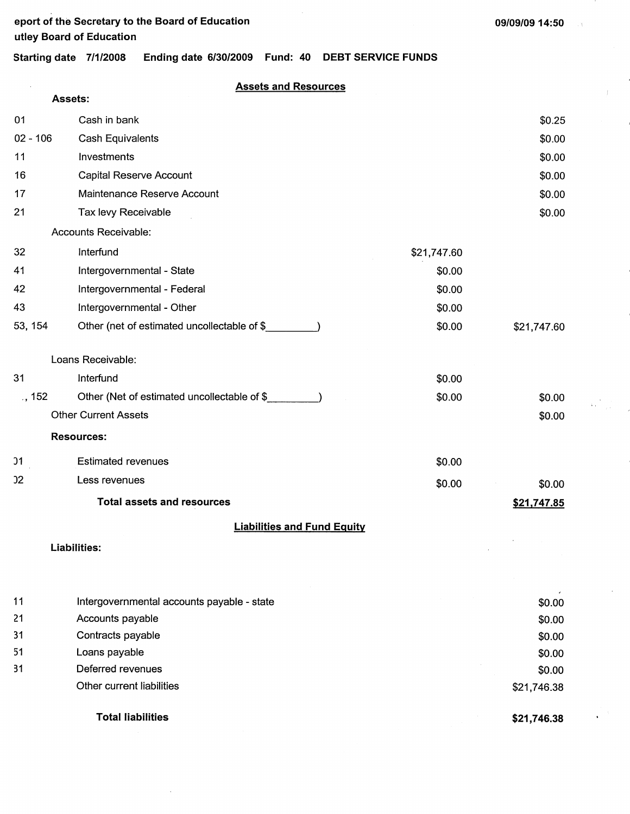$\sim$   $\chi$ 

**Starting date 7/1/2008 Ending date 6/30/2009 Fund: 40 DEBT SERVICE FUNDS** 

## **Assets and Resources**

|            | Assets:                                     |             |             |
|------------|---------------------------------------------|-------------|-------------|
| 01         | Cash in bank                                |             | \$0.25      |
| $02 - 106$ | <b>Cash Equivalents</b>                     |             | \$0.00      |
| 11         | Investments                                 |             | \$0.00      |
| 16         | Capital Reserve Account                     |             | \$0.00      |
| 17         | Maintenance Reserve Account                 |             | \$0.00      |
| 21         | Tax levy Receivable                         |             | \$0.00      |
|            | Accounts Receivable:                        |             |             |
| 32         | Interfund                                   | \$21,747.60 |             |
| 41         | Intergovernmental - State                   | \$0.00      |             |
| 42         | Intergovernmental - Federal                 | \$0.00      |             |
| 43         | Intergovernmental - Other                   | \$0.00      |             |
| 53, 154    | Other (net of estimated uncollectable of \$ | \$0.00      | \$21,747.60 |
|            | Loans Receivable:                           |             |             |
| 31         | Interfund                                   | \$0.00      |             |
| $.$ , 152  | Other (Net of estimated uncollectable of \$ | \$0.00      | \$0.00      |
|            | <b>Other Current Assets</b>                 |             | \$0.00      |
|            | <b>Resources:</b>                           |             |             |
| 31         | <b>Estimated revenues</b>                   | \$0.00      |             |
| 32         | Less revenues                               | \$0.00      | \$0.00      |
|            | <b>Total assets and resources</b>           |             | \$21,747.85 |
|            | <b>Liabilities and Fund Equity</b>          |             |             |
|            | Liabilities:                                |             |             |
| 11         | Intergovernmental accounts payable - state  |             | \$0.00      |
| 21         | Accounts payable                            |             | \$0.00      |

| -31 | Contracts payable         |
|-----|---------------------------|
| -51 | Loans payable             |
| -31 | Deferred revenues         |
|     | Other current liabilities |

## **Total liabilities**

**\$21,746.38** 

\$21,746.38

\$0.00 \$0.00 \$0.00

 $\label{eq:2} \frac{1}{2\pi}\sum_{i=1}^N\frac{1}{2\pi\sqrt{2\pi}}\sum_{i=1}^N\frac{1}{2\pi\sqrt{2\pi}}\int_{-\pi}^{\pi}d\tau\int_{-\pi}^{\pi}d\tau\int_{-\pi}^{\pi}d\tau\int_{-\pi}^{\pi}d\tau\int_{-\pi}^{\pi}d\tau\int_{-\pi}^{\pi}d\tau\int_{-\pi}^{\pi}d\tau\int_{-\pi}^{\pi}d\tau\int_{-\pi}^{\pi}d\tau\int_{-\pi}^{\pi}d\tau\int_{-\pi}^{\pi}d\tau\int_{-\pi}^{\pi}d\tau\$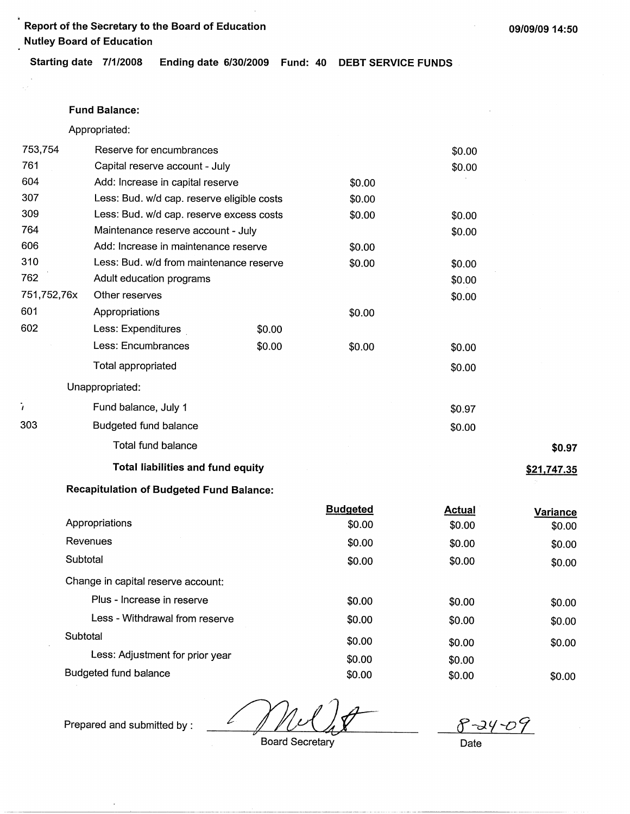**Report of the Secretary to the Board of Education Nutley Board of Education** 

**Starting date 7/1/2008 Ending date 6/30/2009 Fund: 40 DEBT SERVICE FUNDS** 

### **Fund Balance:**

Appropriated:

| 753,754     | Reserve for encumbrances                   |        |        | \$0.00 |             |
|-------------|--------------------------------------------|--------|--------|--------|-------------|
| 761         | Capital reserve account - July             |        |        | \$0.00 |             |
| 604         | Add: Increase in capital reserve           |        | \$0.00 |        |             |
| 307         | Less: Bud. w/d cap. reserve eligible costs |        | \$0.00 |        |             |
| 309         | Less: Bud. w/d cap. reserve excess costs   |        | \$0.00 | \$0.00 |             |
| 764         | Maintenance reserve account - July         |        |        | \$0.00 |             |
| 606         | Add: Increase in maintenance reserve       |        | \$0.00 |        |             |
| 310         | Less: Bud. w/d from maintenance reserve    |        | \$0.00 | \$0.00 |             |
| 762         | Adult education programs                   |        |        | \$0.00 |             |
| 751,752,76x | Other reserves                             |        |        | \$0.00 |             |
| 601         | Appropriations                             |        | \$0.00 |        |             |
| 602         | Less: Expenditures                         | \$0.00 |        |        |             |
|             | Less: Encumbrances                         | \$0.00 | \$0.00 | \$0.00 |             |
|             | Total appropriated                         |        |        | \$0.00 |             |
|             | Unappropriated:                            |        |        |        |             |
|             | Fund balance, July 1                       |        |        | \$0.97 |             |
| 303         | Budgeted fund balance                      |        |        | \$0.00 |             |
|             | Total fund balance                         |        |        |        | \$0.97      |
|             | <b>Total liabilities and fund equity</b>   |        |        |        | \$21,747.35 |
|             |                                            |        |        |        |             |

### **Recapitulation of Budgeted Fund Balance:**

|                                    | <b>Budgeted</b> | <b>Actual</b> | Variance |
|------------------------------------|-----------------|---------------|----------|
| Appropriations                     | \$0.00          | \$0.00        | \$0.00   |
| Revenues                           | \$0.00          | \$0.00        | \$0.00   |
| Subtotal                           | \$0.00          | \$0.00        | \$0.00   |
| Change in capital reserve account: |                 |               |          |
| Plus - Increase in reserve         | \$0.00          | \$0.00        | \$0.00   |
| Less - Withdrawal from reserve     | \$0.00          | \$0.00        | \$0.00   |
| Subtotal                           | \$0.00          | \$0.00        | \$0.00   |
| Less: Adjustment for prior year    | \$0.00          | \$0.00        |          |
| Budgeted fund balance              | \$0.00          | \$0.00        | \$0.00   |
|                                    |                 |               |          |

Prepared and submitted by : ∠

 $8 - 24$ Date

Board Secretary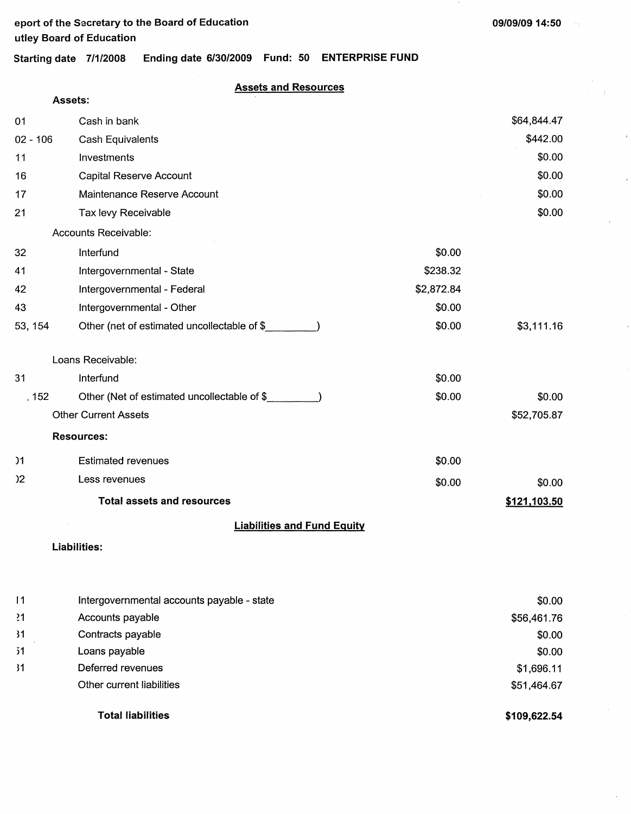**Assets:** 

~1 31 >1 31

## Starting date 7/1/2008 Ending date 6/30/2009 Fund: 50 ENTERPRISE FUND

## **Assets and Resources**

| 01             | Cash in bank                                |            | \$64,844.47  |
|----------------|---------------------------------------------|------------|--------------|
| $02 - 106$     | Cash Equivalents                            |            | \$442.00     |
| 11             | Investments                                 |            | \$0.00       |
| 16             | <b>Capital Reserve Account</b>              |            | \$0.00       |
| 17             | Maintenance Reserve Account                 |            | \$0.00       |
| 21             | Tax levy Receivable                         |            | \$0.00       |
|                | Accounts Receivable:                        |            |              |
| 32             | Interfund                                   | \$0.00     |              |
| 41             | Intergovernmental - State                   | \$238.32   |              |
| 42             | Intergovernmental - Federal                 | \$2,872.84 |              |
| 43             | Intergovernmental - Other                   | \$0.00     |              |
| 53, 154        | Other (net of estimated uncollectable of \$ | \$0.00     | \$3,111.16   |
|                | Loans Receivable:                           |            |              |
| 31             | Interfund                                   | \$0.00     |              |
| , 152          | Other (Net of estimated uncollectable of \$ | \$0.00     | \$0.00       |
|                | <b>Other Current Assets</b>                 |            | \$52,705.87  |
|                | <b>Resources:</b>                           |            |              |
| )1             | <b>Estimated revenues</b>                   | \$0.00     |              |
| 2 <sup>2</sup> | Less revenues                               | \$0.00     | \$0.00       |
|                | <b>Total assets and resources</b>           |            | \$121,103.50 |
|                | <b>Liabilities and Fund Equity</b>          |            |              |
|                | Liabilities:                                |            |              |
|                |                                             |            |              |
| 11             | Intergovernmental accounts payable - state  |            | \$0.00       |

| Accounts payable          | \$56,461.76  |
|---------------------------|--------------|
| Contracts payable         | \$0.00       |
| Loans payable             | \$0.00       |
| Deferred revenues         | \$1,696.11   |
| Other current liabilities | \$51,464.67  |
| <b>Total liabilities</b>  | \$109,622.54 |
|                           |              |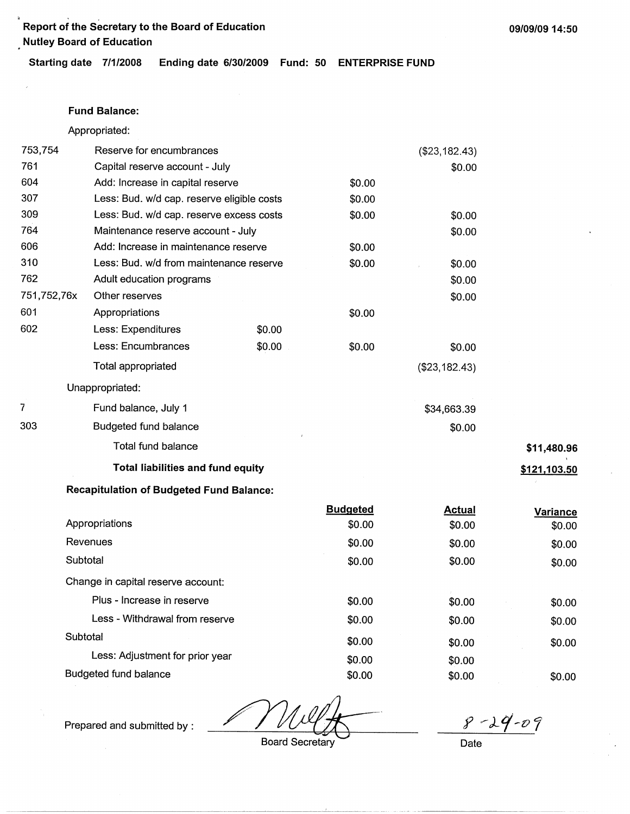. . **Report of the Secretary to the Board of Education 09/09/0914:50 Nutley Board of Education** 

**Starting date 7/1/2008 Ending date 6/30/2009 Fund: 50 ENTERPRISE FUND** 

### **Fund Balance:**

Appropriated:

| 753,754     | Reserve for encumbrances                        |        |                 | (\$23,182.43) |                 |
|-------------|-------------------------------------------------|--------|-----------------|---------------|-----------------|
| 761         | Capital reserve account - July                  |        |                 | \$0.00        |                 |
| 604         | Add: Increase in capital reserve                |        | \$0.00          |               |                 |
| 307         | Less: Bud. w/d cap. reserve eligible costs      |        | \$0.00          |               |                 |
| 309         | Less: Bud. w/d cap. reserve excess costs        |        | \$0.00          | \$0.00        |                 |
| 764         | Maintenance reserve account - July              |        |                 | \$0.00        |                 |
| 606         | Add: Increase in maintenance reserve            |        | \$0.00          |               |                 |
| 310         | Less: Bud. w/d from maintenance reserve         |        | \$0.00          | \$0.00        |                 |
| 762         | Adult education programs                        |        |                 | \$0.00        |                 |
| 751,752,76x | Other reserves                                  |        |                 | \$0.00        |                 |
| 601         | Appropriations                                  |        | \$0.00          |               |                 |
| 602         | Less: Expenditures                              | \$0.00 |                 |               |                 |
|             | Less: Encumbrances                              | \$0.00 | \$0.00          | \$0.00        |                 |
|             | <b>Total appropriated</b>                       |        |                 | (\$23,182.43) |                 |
|             | Unappropriated:                                 |        |                 |               |                 |
| 7           | Fund balance, July 1                            |        |                 | \$34,663.39   |                 |
| 303         | <b>Budgeted fund balance</b>                    |        |                 | \$0.00        |                 |
|             | Total fund balance                              |        |                 |               | \$11,480.96     |
|             | <b>Total liabilities and fund equity</b>        |        |                 |               | \$121,103.50    |
|             | <b>Recapitulation of Budgeted Fund Balance:</b> |        |                 |               |                 |
|             |                                                 |        | <b>Budgeted</b> | <b>Actual</b> | <b>Variance</b> |
|             | Appropriations                                  |        | \$0.00          | \$0.00        | \$0.00          |
|             | Revenues                                        |        | \$0.00          | \$0.00        | \$0.00          |
|             | Subtotal                                        |        | \$0.00          | \$0.00        | \$0.00          |
|             | Change in capital reserve account:              |        |                 |               |                 |
|             | Plus - Increase in reserve                      |        | ፍስ ሰስ           | ድስ ስስ         | ድስ ሰስ           |

| Plus - Increase in reserve      | \$0.00 | \$0.00 | \$0.00 |
|---------------------------------|--------|--------|--------|
| Less - Withdrawal from reserve  | \$0.00 | \$0.00 | \$0.00 |
| Subtotal                        | \$0.00 | \$0.00 | \$0.00 |
| Less: Adjustment for prior year | \$0.00 | \$0.00 |        |
| Budgeted fund balance           | \$0.00 | \$0.00 | \$0.00 |

Prepared and submitted by :

Board Secretary Date

 $8 - 29 - 09$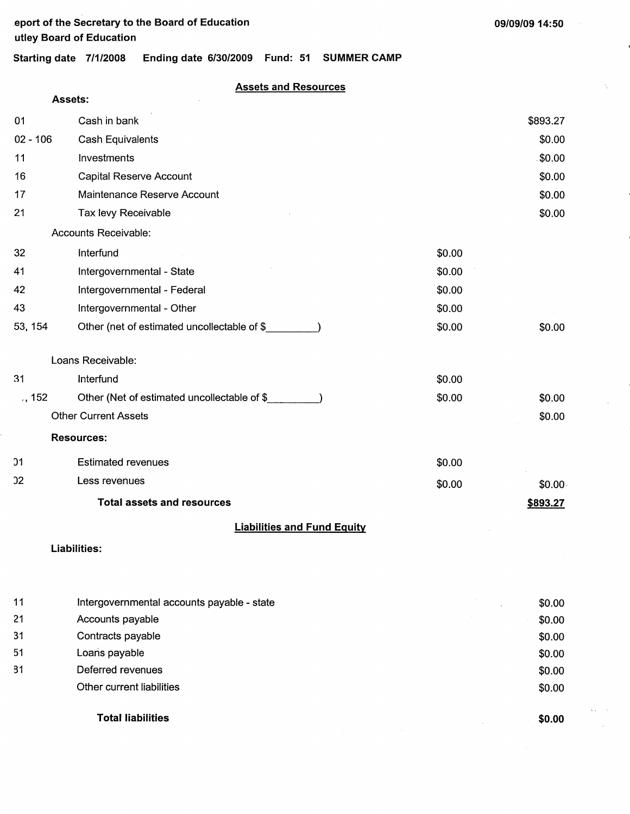## **.eport of the Secretary to the Board of Education utley Board of Education**

**09/09/09 14:50** 

**Starting date 7/1/2008 Ending date 6/30/2009 Fund: 51 SUMMER CAMP** 

### **Assets and Resources**

|            | Assets:                                     |        |            |
|------------|---------------------------------------------|--------|------------|
| 01         | Cash in bank                                |        | \$893.27   |
| $02 - 106$ | <b>Cash Equivalents</b>                     |        | \$0.00     |
| 11         | Investments                                 |        | \$0.00     |
| 16         | Capital Reserve Account                     |        | \$0.00     |
| 17         | Maintenance Reserve Account                 |        | \$0.00     |
| 21         | Tax levy Receivable                         |        | \$0.00     |
|            | Accounts Receivable:                        |        |            |
| 32         | Interfund                                   | \$0.00 |            |
| 41         | Intergovernmental - State                   | \$0.00 |            |
| 42         | Intergovernmental - Federal                 | \$0.00 |            |
| 43         | Intergovernmental - Other                   | \$0.00 |            |
| 53, 154    | Other (net of estimated uncollectable of \$ | \$0.00 | \$0.00     |
|            | Loans Receivable:                           |        |            |
| 31         | Interfund                                   | \$0.00 |            |
| $.$ , 152  | Other (Net of estimated uncollectable of \$ | \$0.00 | \$0.00     |
|            | <b>Other Current Assets</b>                 |        | \$0.00     |
|            | <b>Resources:</b>                           |        |            |
| 01         | <b>Estimated revenues</b>                   | \$0.00 |            |
| 22         | Less revenues                               | \$0.00 | $$0.00 \,$ |
|            | <b>Total assets and resources</b>           |        | \$893.27   |
|            | <b>Liabilities and Fund Equity</b>          |        |            |
|            | Liabilities:                                |        |            |
|            |                                             |        |            |
| 11         | Intergovernmental accounts payable - state  |        | \$0.00     |
| 21         | Accounts payable                            |        | \$0.00     |
| 31         | Contracts payable                           |        | \$0.00     |

51 Loans payable

g1 Deferred revenues Other current liabilities

**Total liabilities** 

**\$0.00** 

 $\bar{z}_{-i}$ 

\$0.00 \$0.00 \$0.00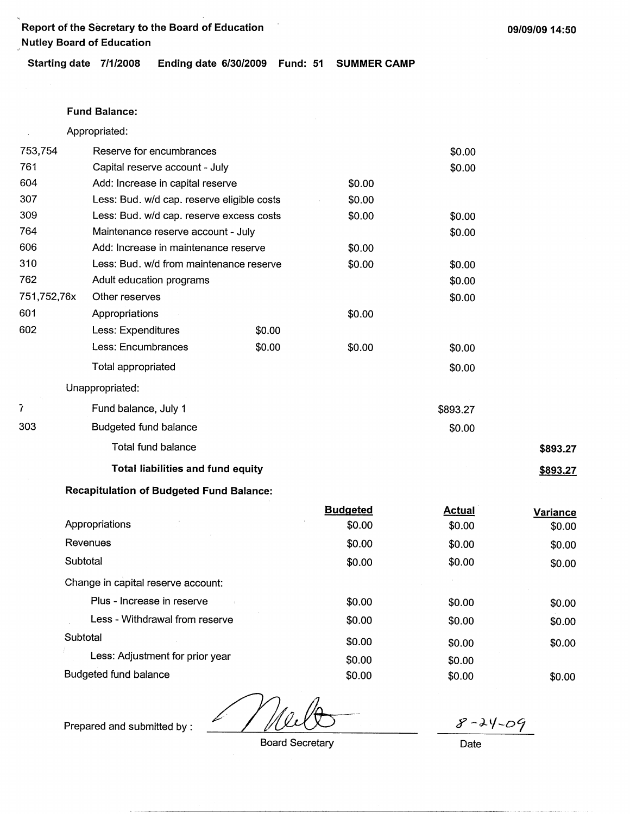' Report of the Secretary to the Board of Education Nutley Board of Education

Starting date 7/1/2008 Ending date 6/30/2009 Fund: 51 SUMMER **CAMP** 

#### **Fund Balance:**

Appropriated:

| 753,754     | Reserve for encumbrances                   |        |        | \$0.00   |          |
|-------------|--------------------------------------------|--------|--------|----------|----------|
| 761         | Capital reserve account - July             |        |        | \$0.00   |          |
| 604         | Add: Increase in capital reserve           |        | \$0.00 |          |          |
| 307         | Less: Bud. w/d cap. reserve eligible costs |        | \$0.00 |          |          |
| 309         | Less: Bud. w/d cap. reserve excess costs   |        | \$0.00 | \$0.00   |          |
| 764         | Maintenance reserve account - July         |        |        | \$0.00   |          |
| 606         | Add: Increase in maintenance reserve       |        | \$0.00 |          |          |
| 310         | Less: Bud. w/d from maintenance reserve    |        | \$0.00 | \$0.00   |          |
| 762         | Adult education programs                   |        |        | \$0.00   |          |
| 751,752,76x | Other reserves                             |        |        | \$0.00   |          |
| 601         | Appropriations                             |        | \$0.00 |          |          |
| 602         | Less: Expenditures                         | \$0.00 |        |          |          |
|             | Less: Encumbrances                         | \$0.00 | \$0.00 | \$0.00   |          |
|             | Total appropriated                         |        |        | \$0.00   |          |
|             | Unappropriated:                            |        |        |          |          |
|             | Fund balance, July 1                       |        |        | \$893.27 |          |
| 303         | Budgeted fund balance                      |        |        | \$0.00   |          |
|             | Total fund balance                         |        |        |          | \$893.27 |
|             | <b>Total liabilities and fund equity</b>   |        |        |          | \$893.27 |
|             |                                            |        |        |          |          |

## **Recapitulation of Budgeted Fund Balance:**

|                                    | <b>Budgeted</b> | <b>Actual</b> | Variance |
|------------------------------------|-----------------|---------------|----------|
| Appropriations                     | \$0.00          | \$0.00        | \$0.00   |
| Revenues                           | \$0.00          | \$0.00        | \$0.00   |
| Subtotal                           | \$0.00          | \$0.00        | \$0.00   |
| Change in capital reserve account: |                 |               |          |
| Plus - Increase in reserve         | \$0.00          | \$0.00        | \$0.00   |
| Less - Withdrawal from reserve     | \$0.00          | \$0.00        | \$0.00   |
| Subtotal                           | \$0.00          | \$0.00        | \$0.00   |
| Less: Adjustment for prior year    | \$0.00          | \$0.00        |          |
| <b>Budgeted fund balance</b>       | \$0.00          | \$0.00        | \$0.00   |

 $8 - 24 - 09$ 

Prepared and submitted by :

Board Secretary

Date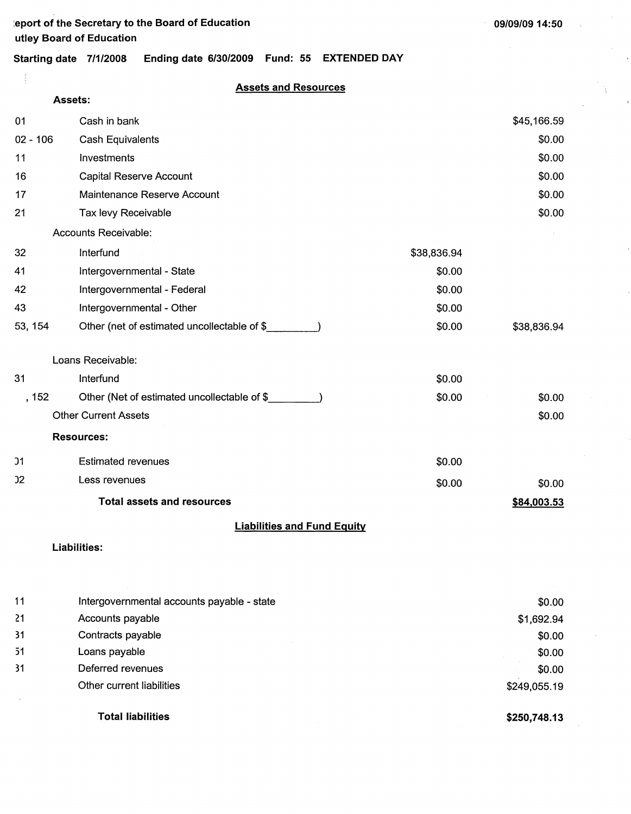÷.

 $\gamma_{\rm p}$ 

 $\overline{\phantom{a}}$ 

 $\sum_{i=1}^{n} \frac{1}{i} \sum_{j=1}^{n} \frac{1}{j} \sum_{j=1}^{n} \frac{1}{j} \sum_{j=1}^{n} \frac{1}{j} \sum_{j=1}^{n} \frac{1}{j} \sum_{j=1}^{n} \frac{1}{j} \sum_{j=1}^{n} \frac{1}{j} \sum_{j=1}^{n} \frac{1}{j} \sum_{j=1}^{n} \frac{1}{j} \sum_{j=1}^{n} \frac{1}{j} \sum_{j=1}^{n} \frac{1}{j} \sum_{j=1}^{n} \frac{1}{j} \sum_{j=1}^{n} \frac{1}{j$ 

# **Starting date 7/1/2008 Ending date 6/30/2009 Fund: 55 EXTENDED DAY**

**Assets and Resources** 

|            | Assets:                                                        |             |                      |
|------------|----------------------------------------------------------------|-------------|----------------------|
| 01         | Cash in bank                                                   |             | \$45,166.59          |
| $02 - 106$ | <b>Cash Equivalents</b>                                        |             | \$0.00               |
| 11         | Investments                                                    |             | \$0.00               |
| 16         | <b>Capital Reserve Account</b>                                 |             | \$0.00               |
| 17         | Maintenance Reserve Account                                    |             | \$0.00               |
| 21         | Tax levy Receivable                                            |             | \$0.00               |
|            | Accounts Receivable:                                           |             |                      |
| 32         | Interfund                                                      | \$38,836.94 |                      |
| 41         | Intergovernmental - State                                      | \$0.00      |                      |
| 42         | Intergovernmental - Federal                                    | \$0.00      |                      |
| 43         | Intergovernmental - Other                                      | \$0.00      |                      |
| 53, 154    | Other (net of estimated uncollectable of \$                    | \$0.00      | \$38,836.94          |
|            | Loans Receivable:                                              |             |                      |
| 31         | Interfund                                                      | \$0.00      |                      |
| , 152      | Other (Net of estimated uncollectable of \$                    | \$0.00      | \$0.00               |
|            | <b>Other Current Assets</b>                                    |             | \$0.00               |
|            | <b>Resources:</b>                                              |             |                      |
| 01         | <b>Estimated revenues</b>                                      | \$0.00      |                      |
| 02         | Less revenues                                                  | \$0.00      | \$0.00               |
|            | <b>Total assets and resources</b>                              |             | \$84,003.53          |
|            | <b>Liabilities and Fund Equity</b>                             |             |                      |
|            | <b>Liabilities:</b>                                            |             |                      |
|            |                                                                |             |                      |
| 11<br>21   | Intergovernmental accounts payable - state<br>Accounts payable |             | \$0.00               |
| 31         | Contracts payable                                              |             | \$1,692.94<br>\$0.00 |
| 51         | Loans payable                                                  |             | \$0.00               |
| 31         | Deferred revenues                                              |             | \$0.00               |
|            | Other current liabilities                                      |             | \$249,055.19         |

**Total liabilities** 

**\$250,748.13**